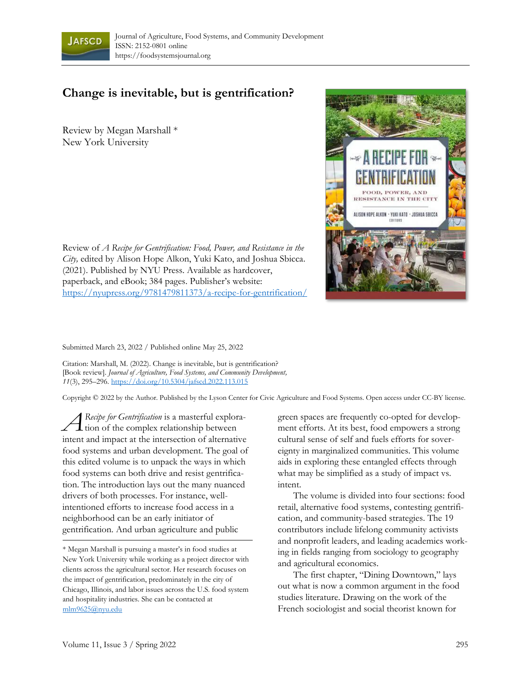

## **Change is inevitable, but is gentrification?**

Review by Megan Marshall \* New York University



Submitted March 23, 2022 / Published online May 25, 2022

Citation: Marshall, M. (2022). Change is inevitable, but is gentrification? [Book review]. *Journal of Agriculture, Food Systems, and Community Development, 11*(3), 295–296.<https://doi.org/10.5304/jafscd.2022.113.015>

Copyright © 2022 by the Author. Published by the Lyson Center for Civic Agriculture and Food Systems. Open access under CC-BY license.

*Recipe for Gentrification* is a masterful exploration of the complex relationship between intent and impact at the intersection of alternative food systems and urban development. The goal of this edited volume is to unpack the ways in which food systems can both drive and resist gentrification. The introduction lays out the many nuanced drivers of both processes. For instance, wellintentioned efforts to increase food access in a neighborhood can be an early initiator of gentrification. And urban agriculture and public *A*

green spaces are frequently co-opted for development efforts. At its best, food empowers a strong cultural sense of self and fuels efforts for sovereignty in marginalized communities. This volume aids in exploring these entangled effects through what may be simplified as a study of impact vs. intent.

The volume is divided into four sections: food retail, alternative food systems, contesting gentrification, and community-based strategies. The 19 contributors include lifelong community activists and nonprofit leaders, and leading academics working in fields ranging from sociology to geography and agricultural economics.

The first chapter, "Dining Downtown," lays out what is now a common argument in the food studies literature. Drawing on the work of the French sociologist and social theorist known for



<sup>\*</sup> Megan Marshall is pursuing a master's in food studies at New York University while working as a project director with clients across the agricultural sector. Her research focuses on the impact of gentrification, predominately in the city of Chicago, Illinois, and labor issues across the U.S. food system and hospitality industries. She can be contacted at [mlm9625@nyu.edu](mailto:mlm9625@nyu.edu)